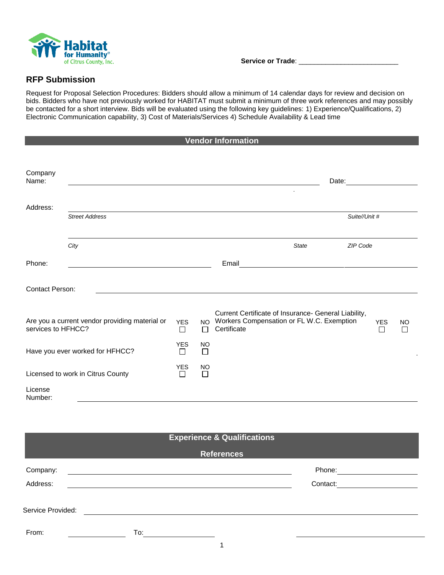

**Service or Trade**: \_\_\_\_\_\_\_\_\_\_\_\_\_\_\_\_\_\_\_\_\_\_\_\_\_\_

## **RFP Submission**

Request for Proposal Selection Procedures: Bidders should allow a minimum of 14 calendar days for review and decision on bids. Bidders who have not previously worked for HABITAT must submit a minimum of three work references and may possibly be contacted for a short interview. Bids will be evaluated using the following key guidelines: 1) Experience/Qualifications, 2) Electronic Communication capability, 3) Cost of Materials/Services 4) Schedule Availability & Lead time

| <b>Vendor Information</b>                                            |                       |                      |                     |                                                                                                                                                 |  |  |  |  |
|----------------------------------------------------------------------|-----------------------|----------------------|---------------------|-------------------------------------------------------------------------------------------------------------------------------------------------|--|--|--|--|
|                                                                      |                       |                      |                     |                                                                                                                                                 |  |  |  |  |
| Company<br>Name:                                                     |                       |                      |                     | Date:                                                                                                                                           |  |  |  |  |
| Address:                                                             |                       |                      |                     |                                                                                                                                                 |  |  |  |  |
|                                                                      | <b>Street Address</b> |                      |                     | Suite//Unit #                                                                                                                                   |  |  |  |  |
|                                                                      | City                  |                      |                     | <b>State</b><br>ZIP Code                                                                                                                        |  |  |  |  |
| Phone:                                                               |                       |                      |                     | Email                                                                                                                                           |  |  |  |  |
| <b>Contact Person:</b>                                               |                       |                      |                     |                                                                                                                                                 |  |  |  |  |
| Are you a current vendor providing material or<br>services to HFHCC? |                       | <b>YES</b><br>$\Box$ | NO.<br>$\Box$       | Current Certificate of Insurance- General Liability,<br>Workers Compensation or FL W.C. Exemption<br><b>YES</b><br>NO<br>Certificate<br>□<br>ΙI |  |  |  |  |
| Have you ever worked for HFHCC?                                      |                       | <b>YES</b><br>$\Box$ | <b>NO</b><br>$\Box$ |                                                                                                                                                 |  |  |  |  |
| Licensed to work in Citrus County                                    |                       | <b>YES</b><br>□      | <b>NO</b><br>□      |                                                                                                                                                 |  |  |  |  |
| License<br>Number:                                                   |                       |                      |                     |                                                                                                                                                 |  |  |  |  |

|                   | <b>Experience &amp; Qualifications</b> |          |
|-------------------|----------------------------------------|----------|
|                   | <b>References</b>                      |          |
| Company:          |                                        | Phone:   |
| Address:          |                                        | Contact: |
| Service Provided: |                                        |          |
| From:             | To:                                    |          |